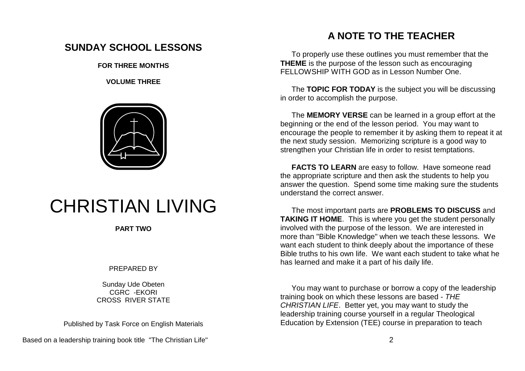# **SUNDAY SCHOOL LESSONS**

**FOR THREE MONTHS**

**VOLUME THREE**



# CHRISTIAN LIVING

**PART TWO**

PREPARED BY

Sunday Ude ObetenCGRC -EKORICROSS RIVER STATE

Published by Task Force on English Materials

**A NOTE TO THE TEACHER**

To properly use these outlines you must remember that the**THEME** is the purpose of the lesson such as encouragingFELLOWSHIP WITH GOD as in Lesson Number One.

The **TOPIC FOR TODAY** is the subject you will be discussingin order to accomplish the purpose.

The **MEMORY VERSE** can be learned in a group effort at thebeginning or the end of the lesson period. You may want to encourage the people to remember it by asking them to repeat it atthe next study session. Memorizing scripture is a good way tostrengthen your Christian life in order to resist temptations.

**FACTS TO LEARN** are easy to follow. Have someone read the appropriate scripture and then ask the students to help you answer the question. Spend some time making sure the studentsunderstand the correct answer.

The most important parts are **PROBLEMS TO DISCUSS** and<br>**TAKING IT HOME**. This is where you get the student personally involved with the purpose of the lesson. We are interested in more than "Bible Knowledge" when we teach these lessons. We want each student to think deeply about the importance of these Bible truths to his own life. We want each student to take what hehas learned and make it a part of his daily life.

> You may want to purchase or borrow a copy of the leadershiptraining book on which these lessons are based - THE CHRISTIAN LIFE. Better yet, you may want to study the leadership training course yourself in a regular TheologicalEducation by Extension (TEE) course in preparation to teach

Based on a leadership training book title "The Christian Life"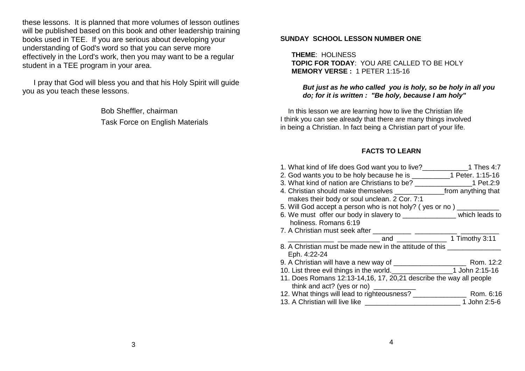these lessons. It is planned that more volumes of lesson outlines will be published based on this book and other leadership trainingbooks used in TEE. If you are serious about developing yourunderstanding of God's word so that you can serve more effectively in the Lord's work, then you may want to be a regularstudent in a TEE program in your area.

I pray that God will bless you and that his Holy Spirit will guideyou as you teach these lessons.

Task Force on English Materials

# **SUNDAY SCHOOL LESSON NUMBER ONE**

**THEME**: HOLINESS **TOPIC FOR TODAY**: YOU ARE CALLED TO BE HOLY**MEMORY VERSE :** 1 PETER 1:15-16

**But just as he who called you is holy, so be holy in all you do; for it is written : "Be holy, because I am holy"**

Bob Sheffler, chairman Internation In this lesson we are learning how to live the Christian life I think you can see already that there are many things involved in being a Christian. In fact being a Christian part of your life.

# **FACTS TO LEARN**

| 1. What kind of life does God want you to live? 1. Thes 4:7                |  |  |  |
|----------------------------------------------------------------------------|--|--|--|
|                                                                            |  |  |  |
|                                                                            |  |  |  |
| 4. Christian should make themselves example from anything that             |  |  |  |
| makes their body or soul unclean. 2 Cor. 7:1                               |  |  |  |
| 5. Will God accept a person who is not holy? (yes or no) ___________       |  |  |  |
| 6. We must offer our body in slavery to _________________ which leads to   |  |  |  |
| holiness. Romans 6:19                                                      |  |  |  |
|                                                                            |  |  |  |
|                                                                            |  |  |  |
|                                                                            |  |  |  |
| 8. A Christian must be made new in the attitude of this                    |  |  |  |
| Eph. 4:22-24                                                               |  |  |  |
|                                                                            |  |  |  |
| 10. List three evil things in the world.<br><u> </u> <b>1</b> John 2:15-16 |  |  |  |
| 11. Does Romans 12:13-14, 16, 17, 20, 21 describe the way all people       |  |  |  |
| think and $act?$ (yes or no) $\sqrt{2}$                                    |  |  |  |
|                                                                            |  |  |  |